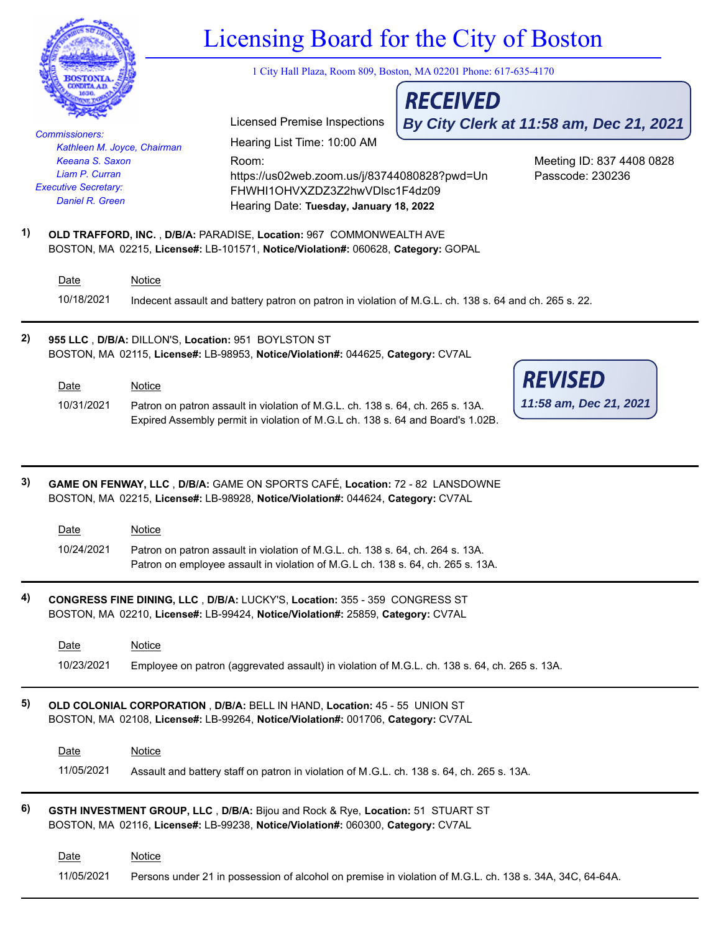|    |                                                                                                                                                               |               | Licensing Board for the City of Boston<br>1 City Hall Plaza, Room 809, Boston, MA 02201 Phone: 617-635-4170                                                                                                                                                                                                                           |                 |                                               |  |  |
|----|---------------------------------------------------------------------------------------------------------------------------------------------------------------|---------------|---------------------------------------------------------------------------------------------------------------------------------------------------------------------------------------------------------------------------------------------------------------------------------------------------------------------------------------|-----------------|-----------------------------------------------|--|--|
|    |                                                                                                                                                               |               |                                                                                                                                                                                                                                                                                                                                       |                 |                                               |  |  |
|    |                                                                                                                                                               |               | <b>Licensed Premise Inspections</b>                                                                                                                                                                                                                                                                                                   | <b>RECEIVED</b> |                                               |  |  |
|    | <b>Commissioners:</b>                                                                                                                                         |               | Hearing List Time: 10:00 AM                                                                                                                                                                                                                                                                                                           |                 | By City Clerk at 11:58 am, Dec 21, 2021       |  |  |
|    | Kathleen M. Joyce, Chairman<br>Keeana S. Saxon<br>Liam P. Curran<br><b>Executive Secretary:</b><br>Daniel R. Green                                            |               | Room:<br>https://us02web.zoom.us/j/83744080828?pwd=Un<br>FHWHI1OHVXZDZ3Z2hwVDlsc1F4dz09<br>Hearing Date: Tuesday, January 18, 2022                                                                                                                                                                                                    |                 | Meeting ID: 837 4408 0828<br>Passcode: 230236 |  |  |
| 1) |                                                                                                                                                               |               | OLD TRAFFORD, INC., D/B/A: PARADISE, Location: 967 COMMONWEALTH AVE<br>BOSTON, MA 02215, License#: LB-101571, Notice/Violation#: 060628, Category: GOPAL                                                                                                                                                                              |                 |                                               |  |  |
|    | Date                                                                                                                                                          | <b>Notice</b> |                                                                                                                                                                                                                                                                                                                                       |                 |                                               |  |  |
|    | 10/18/2021                                                                                                                                                    |               | Indecent assault and battery patron on patron in violation of M.G.L. ch. 138 s. 64 and ch. 265 s. 22.                                                                                                                                                                                                                                 |                 |                                               |  |  |
| 2) | 955 LLC, D/B/A: DILLON'S, Location: 951 BOYLSTON ST<br>BOSTON, MA 02115, License#: LB-98953, Notice/Violation#: 044625, Category: CV7AL                       |               |                                                                                                                                                                                                                                                                                                                                       |                 |                                               |  |  |
|    | Date                                                                                                                                                          | <b>Notice</b> |                                                                                                                                                                                                                                                                                                                                       |                 | <b>REVISED</b>                                |  |  |
|    | 10/31/2021                                                                                                                                                    |               | Patron on patron assault in violation of M.G.L. ch. 138 s. 64, ch. 265 s. 13A.<br>Expired Assembly permit in violation of M.G.L ch. 138 s. 64 and Board's 1.02B.                                                                                                                                                                      |                 | 11:58 am, Dec 21, 2021                        |  |  |
| 3) | Date<br>10/24/2021                                                                                                                                            | Notice        | GAME ON FENWAY, LLC, D/B/A: GAME ON SPORTS CAFÉ, Location: 72 - 82 LANSDOWNE<br>BOSTON, MA 02215, License#: LB-98928, Notice/Violation#: 044624, Category: CV7AL<br>Patron on patron assault in violation of M.G.L. ch. 138 s. 64, ch. 264 s. 13A.<br>Patron on employee assault in violation of M.G.L ch. 138 s. 64, ch. 265 s. 13A. |                 |                                               |  |  |
| 4) |                                                                                                                                                               |               | CONGRESS FINE DINING, LLC, D/B/A: LUCKY'S, Location: 355 - 359 CONGRESS ST<br>BOSTON, MA 02210, License#: LB-99424, Notice/Violation#: 25859, Category: CV7AL                                                                                                                                                                         |                 |                                               |  |  |
|    | Date                                                                                                                                                          | <b>Notice</b> |                                                                                                                                                                                                                                                                                                                                       |                 |                                               |  |  |
|    | 10/23/2021                                                                                                                                                    |               | Employee on patron (aggrevated assault) in violation of M.G.L. ch. 138 s. 64, ch. 265 s. 13A.                                                                                                                                                                                                                                         |                 |                                               |  |  |
| 5) | OLD COLONIAL CORPORATION, D/B/A: BELL IN HAND, Location: 45 - 55 UNION ST<br>BOSTON, MA 02108, License#: LB-99264, Notice/Violation#: 001706, Category: CV7AL |               |                                                                                                                                                                                                                                                                                                                                       |                 |                                               |  |  |
|    | Date                                                                                                                                                          | <b>Notice</b> |                                                                                                                                                                                                                                                                                                                                       |                 |                                               |  |  |
|    | 11/05/2021                                                                                                                                                    |               | Assault and battery staff on patron in violation of M.G.L. ch. 138 s. 64, ch. 265 s. 13A.                                                                                                                                                                                                                                             |                 |                                               |  |  |
| 6) |                                                                                                                                                               |               | GSTH INVESTMENT GROUP, LLC, D/B/A: Bijou and Rock & Rye, Location: 51 STUART ST<br>BOSTON, MA 02116, License#: LB-99238, Notice/Violation#: 060300, Category: CV7AL                                                                                                                                                                   |                 |                                               |  |  |
|    | Date                                                                                                                                                          | <b>Notice</b> |                                                                                                                                                                                                                                                                                                                                       |                 |                                               |  |  |
|    | 11/05/2021                                                                                                                                                    |               | Persons under 21 in possession of alcohol on premise in violation of M.G.L. ch. 138 s. 34A, 34C, 64-64A.                                                                                                                                                                                                                              |                 |                                               |  |  |